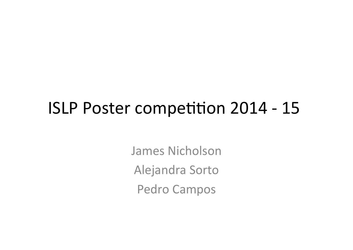#### ISLP Poster competition 2014 - 15

James Nicholson Alejandra Sorto Pedro Campos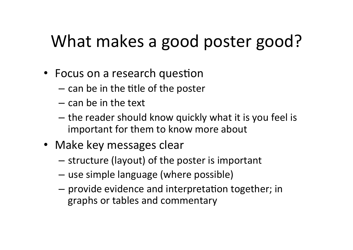# What makes a good poster good?

- Focus on a research question
	- $-$  can be in the title of the poster
	- $-$  can be in the text
	- $-$  the reader should know quickly what it is you feel is important for them to know more about
- Make key messages clear
	- $-$  structure (layout) of the poster is important
	- $-$  use simple language (where possible)
	- $-$  provide evidence and interpretation together; in graphs or tables and commentary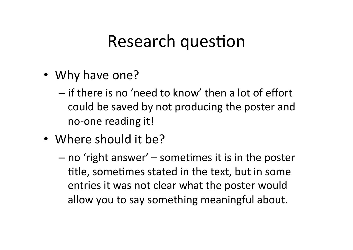#### Research question

- Why have one?
	- $-$  if there is no 'need to know' then a lot of effort could be saved by not producing the poster and no-one reading it!
- Where should it be?
	- $-$  no 'right answer'  $-$  sometimes it is in the poster title, sometimes stated in the text, but in some entries it was not clear what the poster would allow you to say something meaningful about.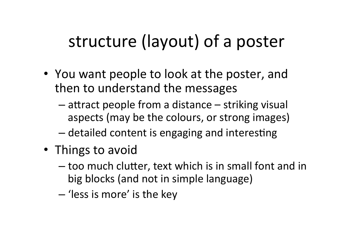## structure (layout) of a poster

- You want people to look at the poster, and then to understand the messages
	- $-$  attract people from a distance  $-$  striking visual aspects (may be the colours, or strong images)
	- detailed content is engaging and interesting
- Things to avoid
	- $-$  too much clutter, text which is in small font and in big blocks (and not in simple language)
	- 'less is more' is the key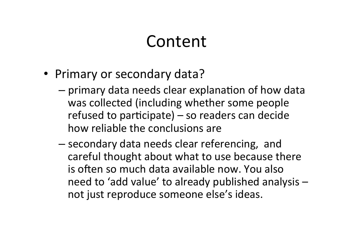#### Content

- Primary or secondary data?
	- $-$  primary data needs clear explanation of how data was collected (including whether some people refused to participate) – so readers can decide how reliable the conclusions are
	- secondary data needs clear referencing, and careful thought about what to use because there is often so much data available now. You also need to 'add value' to already published analysis  $$ not just reproduce someone else's ideas.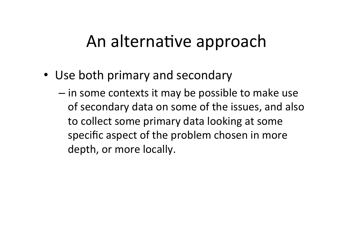### An alternative approach

- Use both primary and secondary
	- $-$  in some contexts it may be possible to make use of secondary data on some of the issues, and also to collect some primary data looking at some specific aspect of the problem chosen in more depth, or more locally.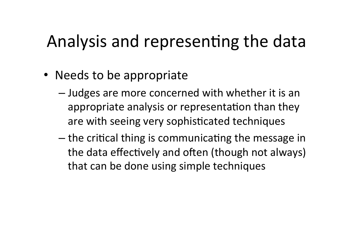## Analysis and representing the data

- Needs to be appropriate
	- $-$  Judges are more concerned with whether it is an appropriate analysis or representation than they are with seeing very sophisticated techniques
	- $-$  the critical thing is communicating the message in the data effectively and often (though not always) that can be done using simple techniques